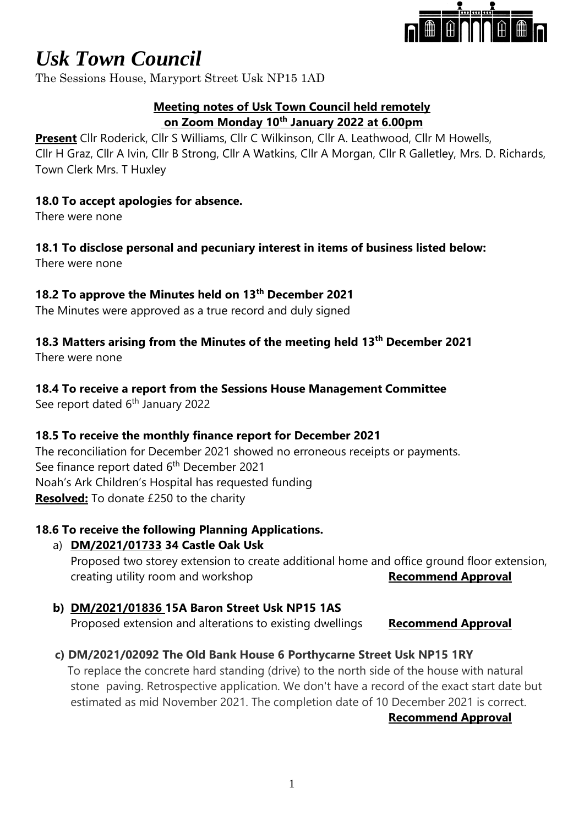

## *Usk Town Council*

The Sessions House, Maryport Street Usk NP15 1AD

#### **Meeting notes of Usk Town Council held remotely on Zoom Monday 10th January 2022 at 6.00pm**

**Present** Cllr Roderick, Cllr S Williams, Cllr C Wilkinson, Cllr A. Leathwood, Cllr M Howells, Cllr H Graz, Cllr A Ivin, Cllr B Strong, Cllr A Watkins, Cllr A Morgan, Cllr R Galletley, Mrs. D. Richards, Town Clerk Mrs. T Huxley

#### **18.0 To accept apologies for absence.**

There were none

#### **18.1 To disclose personal and pecuniary interest in items of business listed below:**

There were none

#### **18.2 To approve the Minutes held on 13th December 2021**

The Minutes were approved as a true record and duly signed

### **18.3 Matters arising from the Minutes of the meeting held 13th December 2021**

There were none

#### **18.4 To receive a report from the Sessions House Management Committee**

See report dated 6<sup>th</sup> January 2022

#### **18.5 To receive the monthly finance report for December 2021**

The reconciliation for December 2021 showed no erroneous receipts or payments. See finance report dated 6<sup>th</sup> December 2021 Noah's Ark Children's Hospital has requested funding **Resolved:** To donate £250 to the charity

#### **18.6 To receive the following Planning Applications.**

#### a) **DM/2021/01733 34 Castle Oak Usk**

Proposed two storey extension to create additional home and office ground floor extension, creating utility room and workshop **Recommend Approval** 

#### **b) DM/2021/01836 15A Baron Street Usk NP15 1AS**

Proposed extension and alterations to existing dwellings **Recommend Approval**

#### **c) DM/2021/02092 The Old Bank House 6 Porthycarne Street Usk NP15 1RY**

 To replace the concrete hard standing (drive) to the north side of the house with natural stone paving. Retrospective application. We don't have a record of the exact start date but estimated as mid November 2021. The completion date of 10 December 2021 is correct.

#### **Recommend Approval**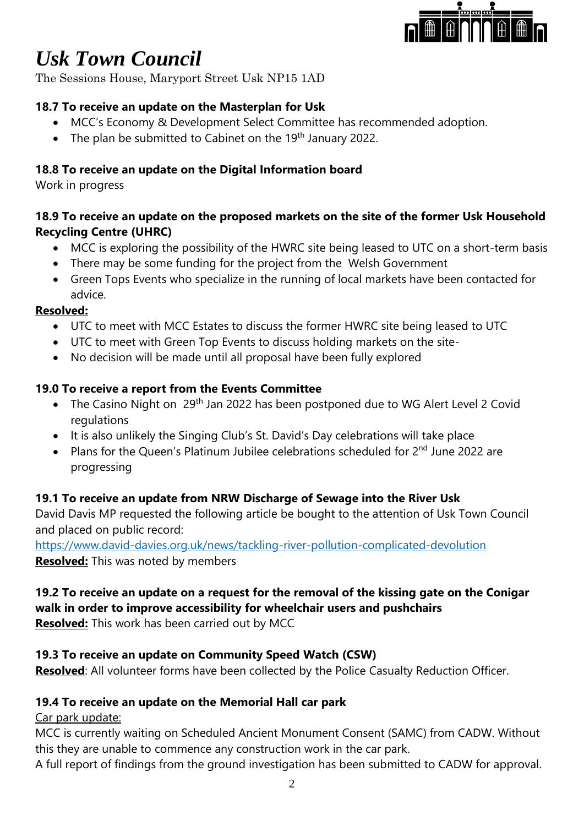

# *Usk Town Council*

The Sessions House, Maryport Street Usk NP15 1AD

#### **18.7 To receive an update on the Masterplan for Usk**

- MCC's Economy & Development Select Committee has recommended adoption.
- The plan be submitted to Cabinet on the 19<sup>th</sup> January 2022.

#### **18.8 To receive an update on the Digital Information board**

Work in progress

#### **18.9 To receive an update on the proposed markets on the site of the former Usk Household Recycling Centre (UHRC)**

- MCC is exploring the possibility of the HWRC site being leased to UTC on a short-term basis
- There may be some funding for the project from the Welsh Government
- Green Tops Events who specialize in the running of local markets have been contacted for advice.

#### **Resolved:**

- UTC to meet with MCC Estates to discuss the former HWRC site being leased to UTC
- UTC to meet with Green Top Events to discuss holding markets on the site-
- No decision will be made until all proposal have been fully explored

#### **19.0 To receive a report from the Events Committee**

- The Casino Night on 29<sup>th</sup> Jan 2022 has been postponed due to WG Alert Level 2 Covid regulations
- It is also unlikely the Singing Club's St. David's Day celebrations will take place
- Plans for the Queen's Platinum Jubilee celebrations scheduled for 2<sup>nd</sup> June 2022 are progressing

#### **19.1 To receive an update from NRW Discharge of Sewage into the River Usk**

David Davis MP requested the following article be bought to the attention of Usk Town Council and placed on public record:

<https://www.david-davies.org.uk/news/tackling-river-pollution-complicated-devolution> **Resolved:** This was noted by members

### **19.2 To receive an update on a request for the removal of the kissing gate on the Conigar walk in order to improve accessibility for wheelchair users and pushchairs**

**Resolved:** This work has been carried out by MCC

#### **19.3 To receive an update on Community Speed Watch (CSW)**

**Resolved**: All volunteer forms have been collected by the Police Casualty Reduction Officer.

#### **19.4 To receive an update on the Memorial Hall car park**

#### Car park update:

MCC is currently waiting on Scheduled Ancient Monument Consent (SAMC) from CADW. Without this they are unable to commence any construction work in the car park.

A full report of findings from the ground investigation has been submitted to CADW for approval.